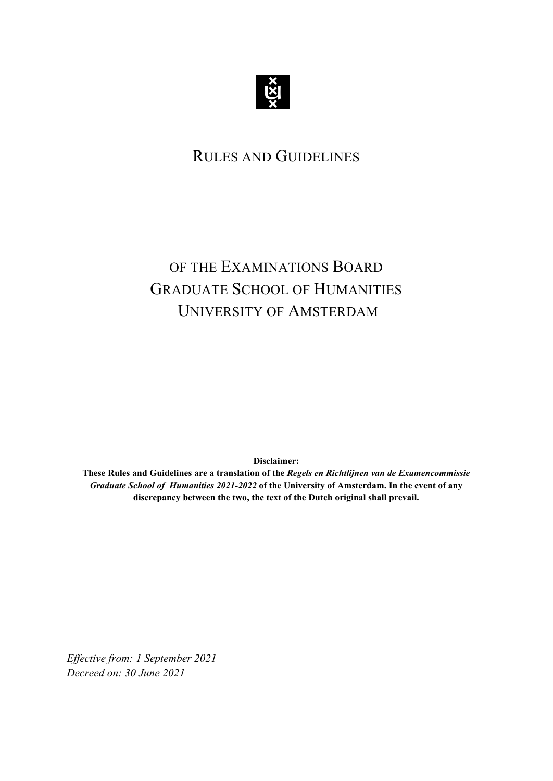

## RULES AND GUIDELINES

## OF THE EXAMINATIONS BOARD GRADUATE SCHOOL OF HUMANITIES UNIVERSITY OF AMSTERDAM

**Disclaimer:** 

**These Rules and Guidelines are a translation of the** *Regels en Richtlijnen van de Examencommissie Graduate School of Humanities 2021-2022* **of the University of Amsterdam. In the event of any discrepancy between the two, the text of the Dutch original shall prevail.**

*Effective from: 1 September 2021 Decreed on: 30 June 2021*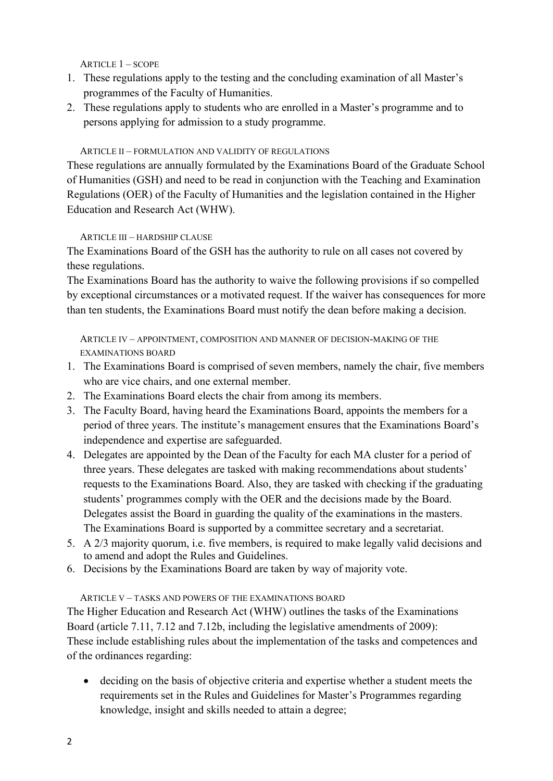ARTICLE 1 – SCOPE

- 1. These regulations apply to the testing and the concluding examination of all Master's programmes of the Faculty of Humanities.
- 2. These regulations apply to students who are enrolled in a Master's programme and to persons applying for admission to a study programme.

## ARTICLE II – FORMULATION AND VALIDITY OF REGULATIONS

These regulations are annually formulated by the Examinations Board of the Graduate School of Humanities (GSH) and need to be read in conjunction with the Teaching and Examination Regulations (OER) of the Faculty of Humanities and the legislation contained in the Higher Education and Research Act (WHW).

## ARTICLE III – HARDSHIP CLAUSE

The Examinations Board of the GSH has the authority to rule on all cases not covered by these regulations.

The Examinations Board has the authority to waive the following provisions if so compelled by exceptional circumstances or a motivated request. If the waiver has consequences for more than ten students, the Examinations Board must notify the dean before making a decision.

ARTICLE IV – APPOINTMENT, COMPOSITION AND MANNER OF DECISION-MAKING OF THE EXAMINATIONS BOARD

- 1. The Examinations Board is comprised of seven members, namely the chair, five members who are vice chairs, and one external member.
- 2. The Examinations Board elects the chair from among its members.
- 3. The Faculty Board, having heard the Examinations Board, appoints the members for a period of three years. The institute's management ensures that the Examinations Board's independence and expertise are safeguarded.
- 4. Delegates are appointed by the Dean of the Faculty for each MA cluster for a period of three years. These delegates are tasked with making recommendations about students' requests to the Examinations Board. Also, they are tasked with checking if the graduating students' programmes comply with the OER and the decisions made by the Board. Delegates assist the Board in guarding the quality of the examinations in the masters. The Examinations Board is supported by a committee secretary and a secretariat.
- 5. A 2/3 majority quorum, i.e. five members, is required to make legally valid decisions and to amend and adopt the Rules and Guidelines.
- 6. Decisions by the Examinations Board are taken by way of majority vote.

## ARTICLE V – TASKS AND POWERS OF THE EXAMINATIONS BOARD

The Higher Education and Research Act (WHW) outlines the tasks of the Examinations Board (article 7.11, 7.12 and 7.12b, including the legislative amendments of 2009): These include establishing rules about the implementation of the tasks and competences and of the ordinances regarding:

• deciding on the basis of objective criteria and expertise whether a student meets the requirements set in the Rules and Guidelines for Master's Programmes regarding knowledge, insight and skills needed to attain a degree;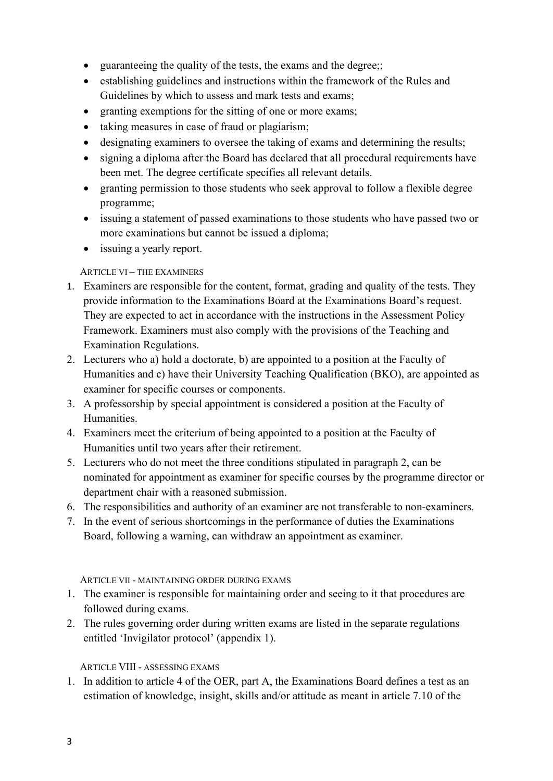- guaranteeing the quality of the tests, the exams and the degree;;
- establishing guidelines and instructions within the framework of the Rules and Guidelines by which to assess and mark tests and exams;
- granting exemptions for the sitting of one or more exams;
- taking measures in case of fraud or plagiarism;
- designating examiners to oversee the taking of exams and determining the results;
- signing a diploma after the Board has declared that all procedural requirements have been met. The degree certificate specifies all relevant details.
- granting permission to those students who seek approval to follow a flexible degree programme;
- issuing a statement of passed examinations to those students who have passed two or more examinations but cannot be issued a diploma;
- issuing a yearly report.

## ARTICLE VI – THE EXAMINERS

- 1. Examiners are responsible for the content, format, grading and quality of the tests. They provide information to the Examinations Board at the Examinations Board's request. They are expected to act in accordance with the instructions in the Assessment Policy Framework. Examiners must also comply with the provisions of the Teaching and Examination Regulations.
- 2. Lecturers who a) hold a doctorate, b) are appointed to a position at the Faculty of Humanities and c) have their University Teaching Qualification (BKO), are appointed as examiner for specific courses or components.
- 3. A professorship by special appointment is considered a position at the Faculty of Humanities.
- 4. Examiners meet the criterium of being appointed to a position at the Faculty of Humanities until two years after their retirement.
- 5. Lecturers who do not meet the three conditions stipulated in paragraph 2, can be nominated for appointment as examiner for specific courses by the programme director or department chair with a reasoned submission.
- 6. The responsibilities and authority of an examiner are not transferable to non-examiners.
- 7. In the event of serious shortcomings in the performance of duties the Examinations Board, following a warning, can withdraw an appointment as examiner.

### ARTICLE VII - MAINTAINING ORDER DURING EXAMS

- 1. The examiner is responsible for maintaining order and seeing to it that procedures are followed during exams.
- 2. The rules governing order during written exams are listed in the separate regulations entitled 'Invigilator protocol' (appendix 1).

## ARTICLE VIII - ASSESSING EXAMS

1. In addition to article 4 of the OER, part A, the Examinations Board defines a test as an estimation of knowledge, insight, skills and/or attitude as meant in article 7.10 of the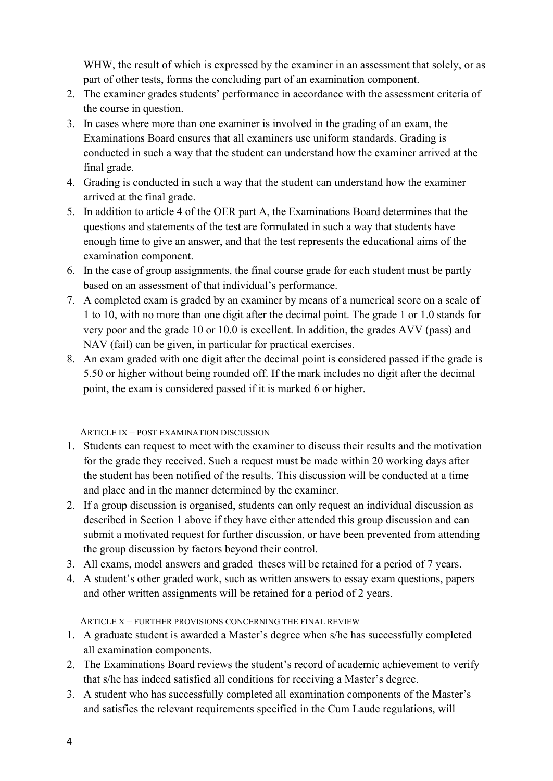WHW, the result of which is expressed by the examiner in an assessment that solely, or as part of other tests, forms the concluding part of an examination component.

- 2. The examiner grades students' performance in accordance with the assessment criteria of the course in question.
- 3. In cases where more than one examiner is involved in the grading of an exam, the Examinations Board ensures that all examiners use uniform standards. Grading is conducted in such a way that the student can understand how the examiner arrived at the final grade.
- 4. Grading is conducted in such a way that the student can understand how the examiner arrived at the final grade.
- 5. In addition to article 4 of the OER part A, the Examinations Board determines that the questions and statements of the test are formulated in such a way that students have enough time to give an answer, and that the test represents the educational aims of the examination component.
- 6. In the case of group assignments, the final course grade for each student must be partly based on an assessment of that individual's performance.
- 7. A completed exam is graded by an examiner by means of a numerical score on a scale of 1 to 10, with no more than one digit after the decimal point. The grade 1 or 1.0 stands for very poor and the grade 10 or 10.0 is excellent. In addition, the grades AVV (pass) and NAV (fail) can be given, in particular for practical exercises.
- 8. An exam graded with one digit after the decimal point is considered passed if the grade is 5.50 or higher without being rounded off. If the mark includes no digit after the decimal point, the exam is considered passed if it is marked 6 or higher.

ARTICLE IX – POST EXAMINATION DISCUSSION

- 1. Students can request to meet with the examiner to discuss their results and the motivation for the grade they received. Such a request must be made within 20 working days after the student has been notified of the results. This discussion will be conducted at a time and place and in the manner determined by the examiner.
- 2. If a group discussion is organised, students can only request an individual discussion as described in Section 1 above if they have either attended this group discussion and can submit a motivated request for further discussion, or have been prevented from attending the group discussion by factors beyond their control.
- 3. All exams, model answers and graded theses will be retained for a period of 7 years.
- 4. A student's other graded work, such as written answers to essay exam questions, papers and other written assignments will be retained for a period of 2 years.

ARTICLE X – FURTHER PROVISIONS CONCERNING THE FINAL REVIEW

- 1. A graduate student is awarded a Master's degree when s/he has successfully completed all examination components.
- 2. The Examinations Board reviews the student's record of academic achievement to verify that s/he has indeed satisfied all conditions for receiving a Master's degree.
- 3. A student who has successfully completed all examination components of the Master's and satisfies the relevant requirements specified in the Cum Laude regulations, will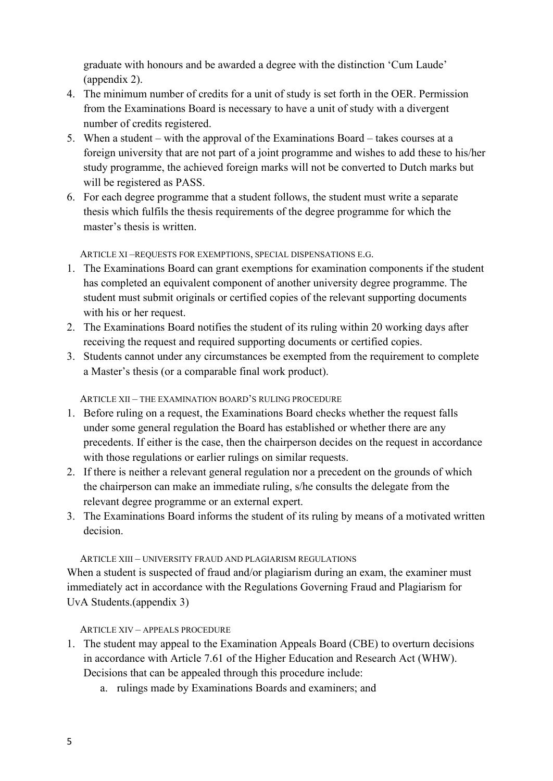graduate with honours and be awarded a degree with the distinction 'Cum Laude' (appendix 2).

- 4. The minimum number of credits for a unit of study is set forth in the OER. Permission from the Examinations Board is necessary to have a unit of study with a divergent number of credits registered.
- 5. When a student with the approval of the Examinations Board takes courses at a foreign university that are not part of a joint programme and wishes to add these to his/her study programme, the achieved foreign marks will not be converted to Dutch marks but will be registered as PASS.
- 6. For each degree programme that a student follows, the student must write a separate thesis which fulfils the thesis requirements of the degree programme for which the master's thesis is written.

ARTICLE XI –REQUESTS FOR EXEMPTIONS, SPECIAL DISPENSATIONS E.G.

- 1. The Examinations Board can grant exemptions for examination components if the student has completed an equivalent component of another university degree programme. The student must submit originals or certified copies of the relevant supporting documents with his or her request.
- 2. The Examinations Board notifies the student of its ruling within 20 working days after receiving the request and required supporting documents or certified copies.
- 3. Students cannot under any circumstances be exempted from the requirement to complete a Master's thesis (or a comparable final work product).

ARTICLE XII – THE EXAMINATION BOARD'S RULING PROCEDURE

- 1. Before ruling on a request, the Examinations Board checks whether the request falls under some general regulation the Board has established or whether there are any precedents. If either is the case, then the chairperson decides on the request in accordance with those regulations or earlier rulings on similar requests.
- 2. If there is neither a relevant general regulation nor a precedent on the grounds of which the chairperson can make an immediate ruling, s/he consults the delegate from the relevant degree programme or an external expert.
- 3. The Examinations Board informs the student of its ruling by means of a motivated written decision.

## ARTICLE XIII – UNIVERSITY FRAUD AND PLAGIARISM REGULATIONS

When a student is suspected of fraud and/or plagiarism during an exam, the examiner must immediately act in accordance with the Regulations Governing Fraud and Plagiarism for UvA Students.(appendix 3)

ARTICLE XIV – APPEALS PROCEDURE

- 1. The student may appeal to the Examination Appeals Board (CBE) to overturn decisions in accordance with Article 7.61 of the Higher Education and Research Act (WHW). Decisions that can be appealed through this procedure include:
	- a. rulings made by Examinations Boards and examiners; and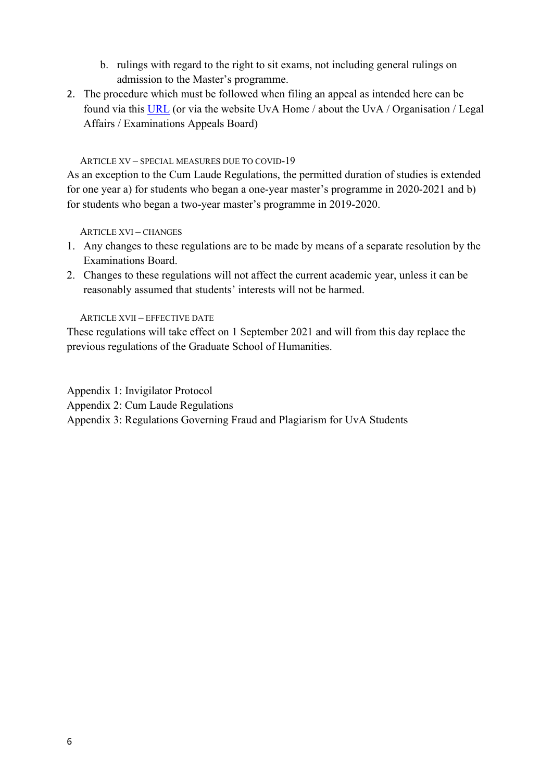- b. rulings with regard to the right to sit exams, not including general rulings on admission to the Master's programme.
- 2. The procedure which must be followed when filing an appeal as intended here can be found via this [URL](http://www.uva.nl/en/about-the-uva/organisation/legal-affairs/examination-appeals-board/examination-appeals-board.html) (or via the website UvA Home / about the UvA / Organisation / Legal Affairs / Examinations Appeals Board)

#### ARTICLE XV – SPECIAL MEASURES DUE TO COVID-19

As an exception to the Cum Laude Regulations, the permitted duration of studies is extended for one year a) for students who began a one-year master's programme in 2020-2021 and b) for students who began a two-year master's programme in 2019-2020.

ARTICLE XVI – CHANGES

- 1. Any changes to these regulations are to be made by means of a separate resolution by the Examinations Board.
- 2. Changes to these regulations will not affect the current academic year, unless it can be reasonably assumed that students' interests will not be harmed.

ARTICLE XVII – EFFECTIVE DATE

These regulations will take effect on 1 September 2021 and will from this day replace the previous regulations of the Graduate School of Humanities.

Appendix 1: Invigilator Protocol

Appendix 2: Cum Laude Regulations

Appendix 3: Regulations Governing Fraud and Plagiarism for UvA Students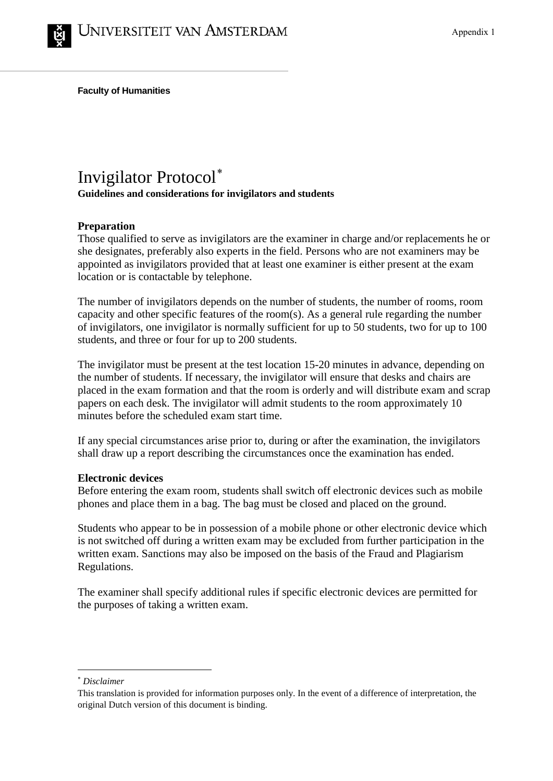**Faculty of Humanities**

## Invigilator Protocol[∗](#page-6-0)

**Guidelines and considerations for invigilators and students**

## **Preparation**

Those qualified to serve as invigilators are the examiner in charge and/or replacements he or she designates, preferably also experts in the field. Persons who are not examiners may be appointed as invigilators provided that at least one examiner is either present at the exam location or is contactable by telephone.

The number of invigilators depends on the number of students, the number of rooms, room capacity and other specific features of the room(s). As a general rule regarding the number of invigilators, one invigilator is normally sufficient for up to 50 students, two for up to 100 students, and three or four for up to 200 students.

The invigilator must be present at the test location 15-20 minutes in advance, depending on the number of students. If necessary, the invigilator will ensure that desks and chairs are placed in the exam formation and that the room is orderly and will distribute exam and scrap papers on each desk. The invigilator will admit students to the room approximately 10 minutes before the scheduled exam start time.

If any special circumstances arise prior to, during or after the examination, the invigilators shall draw up a report describing the circumstances once the examination has ended.

## **Electronic devices**

Before entering the exam room, students shall switch off electronic devices such as mobile phones and place them in a bag. The bag must be closed and placed on the ground.

Students who appear to be in possession of a mobile phone or other electronic device which is not switched off during a written exam may be excluded from further participation in the written exam. Sanctions may also be imposed on the basis of the Fraud and Plagiarism Regulations.

The examiner shall specify additional rules if specific electronic devices are permitted for the purposes of taking a written exam.

<span id="page-6-0"></span><sup>∗</sup> *Disclaimer*

This translation is provided for information purposes only. In the event of a difference of interpretation, the original Dutch version of this document is binding.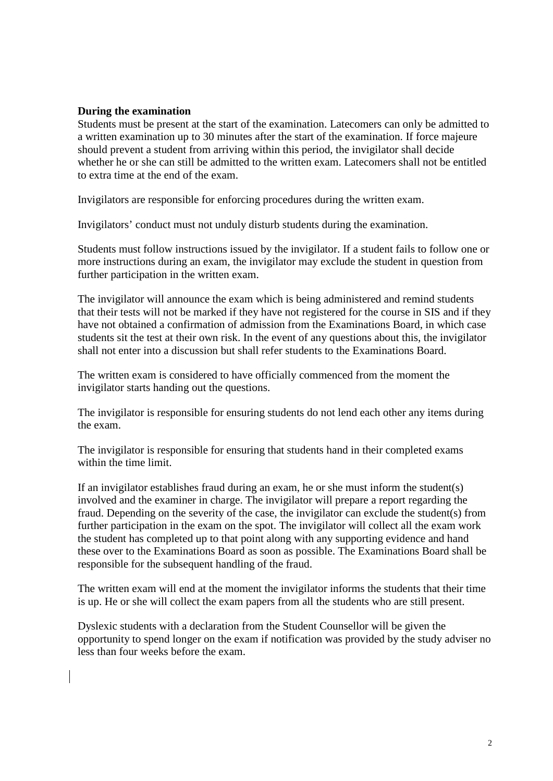## **During the examination**

Students must be present at the start of the examination. Latecomers can only be admitted to a written examination up to 30 minutes after the start of the examination. If force majeure should prevent a student from arriving within this period, the invigilator shall decide whether he or she can still be admitted to the written exam. Latecomers shall not be entitled to extra time at the end of the exam.

Invigilators are responsible for enforcing procedures during the written exam.

Invigilators' conduct must not unduly disturb students during the examination.

Students must follow instructions issued by the invigilator. If a student fails to follow one or more instructions during an exam, the invigilator may exclude the student in question from further participation in the written exam.

The invigilator will announce the exam which is being administered and remind students that their tests will not be marked if they have not registered for the course in SIS and if they have not obtained a confirmation of admission from the Examinations Board, in which case students sit the test at their own risk. In the event of any questions about this, the invigilator shall not enter into a discussion but shall refer students to the Examinations Board.

The written exam is considered to have officially commenced from the moment the invigilator starts handing out the questions.

The invigilator is responsible for ensuring students do not lend each other any items during the exam.

The invigilator is responsible for ensuring that students hand in their completed exams within the time limit.

If an invigilator establishes fraud during an exam, he or she must inform the student(s) involved and the examiner in charge. The invigilator will prepare a report regarding the fraud. Depending on the severity of the case, the invigilator can exclude the student(s) from further participation in the exam on the spot. The invigilator will collect all the exam work the student has completed up to that point along with any supporting evidence and hand these over to the Examinations Board as soon as possible. The Examinations Board shall be responsible for the subsequent handling of the fraud.

The written exam will end at the moment the invigilator informs the students that their time is up. He or she will collect the exam papers from all the students who are still present.

Dyslexic students with a declaration from the Student Counsellor will be given the opportunity to spend longer on the exam if notification was provided by the study adviser no less than four weeks before the exam.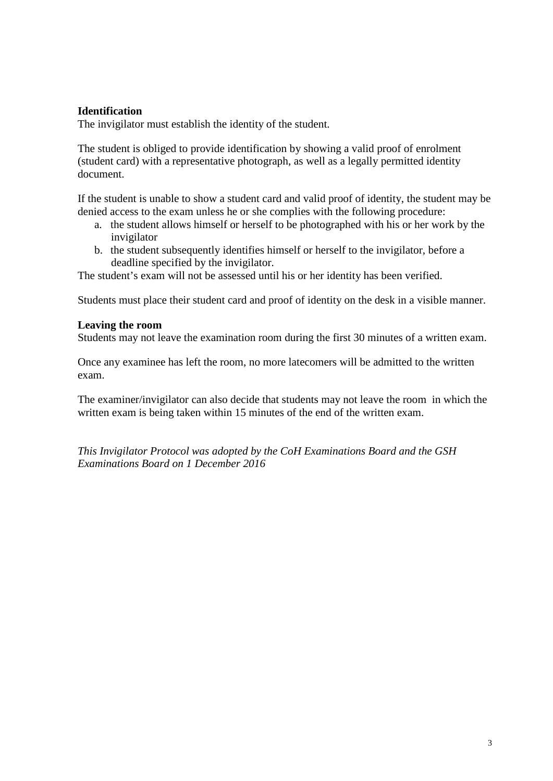## **Identification**

The invigilator must establish the identity of the student.

The student is obliged to provide identification by showing a valid proof of enrolment (student card) with a representative photograph, as well as a legally permitted identity document.

If the student is unable to show a student card and valid proof of identity, the student may be denied access to the exam unless he or she complies with the following procedure:

- a. the student allows himself or herself to be photographed with his or her work by the invigilator
- b. the student subsequently identifies himself or herself to the invigilator, before a deadline specified by the invigilator.

The student's exam will not be assessed until his or her identity has been verified.

Students must place their student card and proof of identity on the desk in a visible manner.

### **Leaving the room**

Students may not leave the examination room during the first 30 minutes of a written exam.

Once any examinee has left the room, no more latecomers will be admitted to the written exam.

The examiner/invigilator can also decide that students may not leave the room in which the written exam is being taken within 15 minutes of the end of the written exam.

*This Invigilator Protocol was adopted by the CoH Examinations Board and the GSH Examinations Board on 1 December 2016*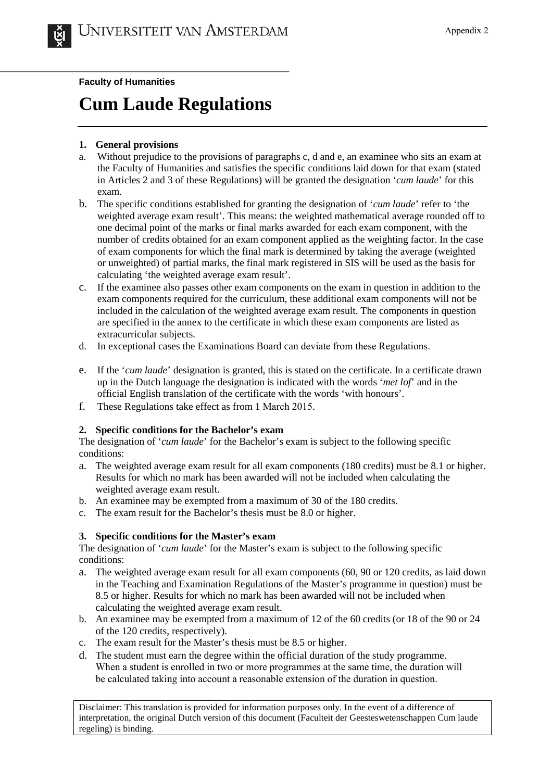**Faculty of Humanities**

# **Cum Laude Regulations**

## **1. General provisions**

- a. Without prejudice to the provisions of paragraphs c, d and e, an examinee who sits an exam at the Faculty of Humanities and satisfies the specific conditions laid down for that exam (stated in Articles 2 and 3 of these Regulations) will be granted the designation '*cum laude*' for this exam.
- b. The specific conditions established for granting the designation of '*cum laude*' refer to 'the weighted average exam result'. This means: the weighted mathematical average rounded off to one decimal point of the marks or final marks awarded for each exam component, with the number of credits obtained for an exam component applied as the weighting factor. In the case of exam components for which the final mark is determined by taking the average (weighted or unweighted) of partial marks, the final mark registered in SIS will be used as the basis for calculating 'the weighted average exam result'.
- c. If the examinee also passes other exam components on the exam in question in addition to the exam components required for the curriculum, these additional exam components will not be included in the calculation of the weighted average exam result. The components in question are specified in the annex to the certificate in which these exam components are listed as extracurricular subjects.
- d. In exceptional cases the Examinations Board can deviate from these Regulations.
- e. If the '*cum laude*' designation is granted, this is stated on the certificate. In a certificate drawn up in the Dutch language the designation is indicated with the words '*met lof*' and in the official English translation of the certificate with the words 'with honours'.
- f. These Regulations take effect as from 1 March 2015.

## **2. Specific conditions for the Bachelor's exam**

The designation of '*cum laude*' for the Bachelor's exam is subject to the following specific conditions:

- a. The weighted average exam result for all exam components (180 credits) must be 8.1 or higher. Results for which no mark has been awarded will not be included when calculating the weighted average exam result.
- b. An examinee may be exempted from a maximum of 30 of the 180 credits.
- c. The exam result for the Bachelor's thesis must be 8.0 or higher.

### **3. Specific conditions for the Master's exam**

The designation of '*cum laude*' for the Master's exam is subject to the following specific conditions:

- a. The weighted average exam result for all exam components (60, 90 or 120 credits, as laid down in the Teaching and Examination Regulations of the Master's programme in question) must be 8.5 or higher. Results for which no mark has been awarded will not be included when calculating the weighted average exam result.
- b. An examinee may be exempted from a maximum of 12 of the 60 credits (or 18 of the 90 or 24 of the 120 credits, respectively).
- c. The exam result for the Master's thesis must be 8.5 or higher.
- d. The student must earn the degree within the official duration of the study programme. When a student is enrolled in two or more programmes at the same time, the duration will be calculated taking into account a reasonable extension of the duration in question.

Disclaimer: This translation is provided for information purposes only. In the event of a difference of interpretation, the original Dutch version of this document (Faculteit der Geesteswetenschappen Cum laude regeling) is binding.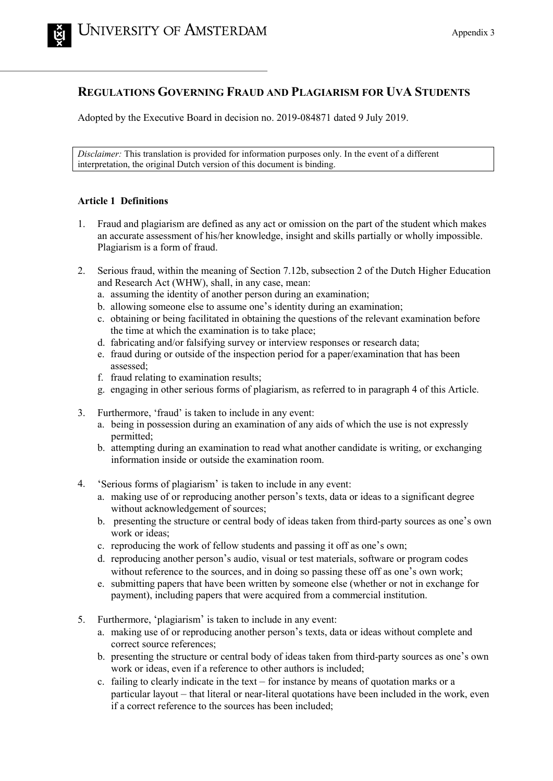## **REGULATIONS GOVERNING FRAUD AND PLAGIARISM FOR UVA STUDENTS**

Adopted by the Executive Board in decision no. 2019-084871 dated 9 July 2019.

*Disclaimer:* This translation is provided for information purposes only. In the event of a different interpretation, the original Dutch version of this document is binding.

#### **Article 1 Definitions**

- 1. Fraud and plagiarism are defined as any act or omission on the part of the student which makes an accurate assessment of his/her knowledge, insight and skills partially or wholly impossible. Plagiarism is a form of fraud.
- 2. Serious fraud, within the meaning of Section 7.12b, subsection 2 of the Dutch Higher Education and Research Act (WHW), shall, in any case, mean:
	- a. assuming the identity of another person during an examination;
	- b. allowing someone else to assume one's identity during an examination;
	- c. obtaining or being facilitated in obtaining the questions of the relevant examination before the time at which the examination is to take place;
	- d. fabricating and/or falsifying survey or interview responses or research data;
	- e. fraud during or outside of the inspection period for a paper/examination that has been assessed;
	- f. fraud relating to examination results;
	- g. engaging in other serious forms of plagiarism, as referred to in paragraph 4 of this Article.
- 3. Furthermore, 'fraud' is taken to include in any event:
	- a. being in possession during an examination of any aids of which the use is not expressly permitted;
	- b. attempting during an examination to read what another candidate is writing, or exchanging information inside or outside the examination room.
- 4. 'Serious forms of plagiarism' is taken to include in any event:
	- a. making use of or reproducing another person's texts, data or ideas to a significant degree without acknowledgement of sources;
	- b. presenting the structure or central body of ideas taken from third-party sources as one's own work or ideas;
	- c. reproducing the work of fellow students and passing it off as one's own;
	- d. reproducing another person's audio, visual or test materials, software or program codes without reference to the sources, and in doing so passing these off as one's own work;
	- e. submitting papers that have been written by someone else (whether or not in exchange for payment), including papers that were acquired from a commercial institution.
- 5. Furthermore, 'plagiarism' is taken to include in any event:
	- a. making use of or reproducing another person's texts, data or ideas without complete and correct source references;
	- b. presenting the structure or central body of ideas taken from third-party sources as one's own work or ideas, even if a reference to other authors is included;
	- c. failing to clearly indicate in the text for instance by means of quotation marks or a particular layout – that literal or near-literal quotations have been included in the work, even if a correct reference to the sources has been included;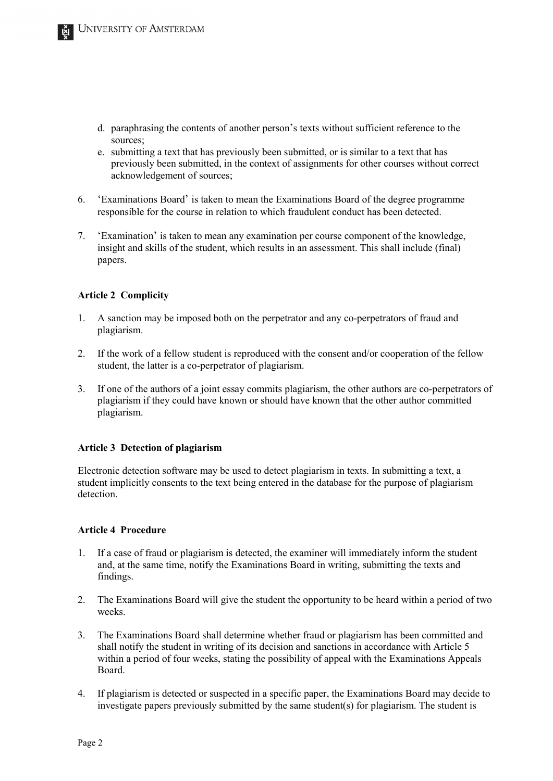- d. paraphrasing the contents of another person's texts without sufficient reference to the sources;
- e. submitting a text that has previously been submitted, or is similar to a text that has previously been submitted, in the context of assignments for other courses without correct acknowledgement of sources;
- 6. 'Examinations Board' is taken to mean the Examinations Board of the degree programme responsible for the course in relation to which fraudulent conduct has been detected.
- 7. 'Examination' is taken to mean any examination per course component of the knowledge, insight and skills of the student, which results in an assessment. This shall include (final) papers.

#### **Article 2 Complicity**

- 1. A sanction may be imposed both on the perpetrator and any co-perpetrators of fraud and plagiarism.
- 2. If the work of a fellow student is reproduced with the consent and/or cooperation of the fellow student, the latter is a co-perpetrator of plagiarism.
- 3. If one of the authors of a joint essay commits plagiarism, the other authors are co-perpetrators of plagiarism if they could have known or should have known that the other author committed plagiarism.

#### **Article 3 Detection of plagiarism**

Electronic detection software may be used to detect plagiarism in texts. In submitting a text, a student implicitly consents to the text being entered in the database for the purpose of plagiarism detection.

#### **Article 4 Procedure**

- 1. If a case of fraud or plagiarism is detected, the examiner will immediately inform the student and, at the same time, notify the Examinations Board in writing, submitting the texts and findings.
- 2. The Examinations Board will give the student the opportunity to be heard within a period of two weeks.
- 3. The Examinations Board shall determine whether fraud or plagiarism has been committed and shall notify the student in writing of its decision and sanctions in accordance with Article 5 within a period of four weeks, stating the possibility of appeal with the Examinations Appeals Board.
- 4. If plagiarism is detected or suspected in a specific paper, the Examinations Board may decide to investigate papers previously submitted by the same student(s) for plagiarism. The student is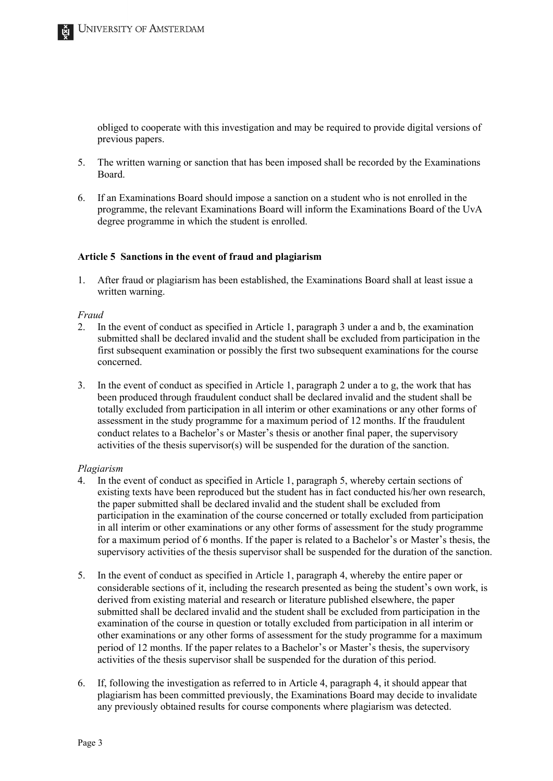obliged to cooperate with this investigation and may be required to provide digital versions of previous papers.

- 5. The written warning or sanction that has been imposed shall be recorded by the Examinations Board.
- 6. If an Examinations Board should impose a sanction on a student who is not enrolled in the programme, the relevant Examinations Board will inform the Examinations Board of the UvA degree programme in which the student is enrolled.

#### **Article 5 Sanctions in the event of fraud and plagiarism**

1. After fraud or plagiarism has been established, the Examinations Board shall at least issue a written warning.

#### *Fraud*

- 2. In the event of conduct as specified in Article 1, paragraph 3 under a and b, the examination submitted shall be declared invalid and the student shall be excluded from participation in the first subsequent examination or possibly the first two subsequent examinations for the course concerned.
- 3. In the event of conduct as specified in Article 1, paragraph 2 under a to g, the work that has been produced through fraudulent conduct shall be declared invalid and the student shall be totally excluded from participation in all interim or other examinations or any other forms of assessment in the study programme for a maximum period of 12 months. If the fraudulent conduct relates to a Bachelor's or Master's thesis or another final paper, the supervisory activities of the thesis supervisor(s) will be suspended for the duration of the sanction.

#### *Plagiarism*

- 4. In the event of conduct as specified in Article 1, paragraph 5, whereby certain sections of existing texts have been reproduced but the student has in fact conducted his/her own research, the paper submitted shall be declared invalid and the student shall be excluded from participation in the examination of the course concerned or totally excluded from participation in all interim or other examinations or any other forms of assessment for the study programme for a maximum period of 6 months. If the paper is related to a Bachelor's or Master's thesis, the supervisory activities of the thesis supervisor shall be suspended for the duration of the sanction.
- 5. In the event of conduct as specified in Article 1, paragraph 4, whereby the entire paper or considerable sections of it, including the research presented as being the student's own work, is derived from existing material and research or literature published elsewhere, the paper submitted shall be declared invalid and the student shall be excluded from participation in the examination of the course in question or totally excluded from participation in all interim or other examinations or any other forms of assessment for the study programme for a maximum period of 12 months. If the paper relates to a Bachelor's or Master's thesis, the supervisory activities of the thesis supervisor shall be suspended for the duration of this period.
- 6. If, following the investigation as referred to in Article 4, paragraph 4, it should appear that plagiarism has been committed previously, the Examinations Board may decide to invalidate any previously obtained results for course components where plagiarism was detected.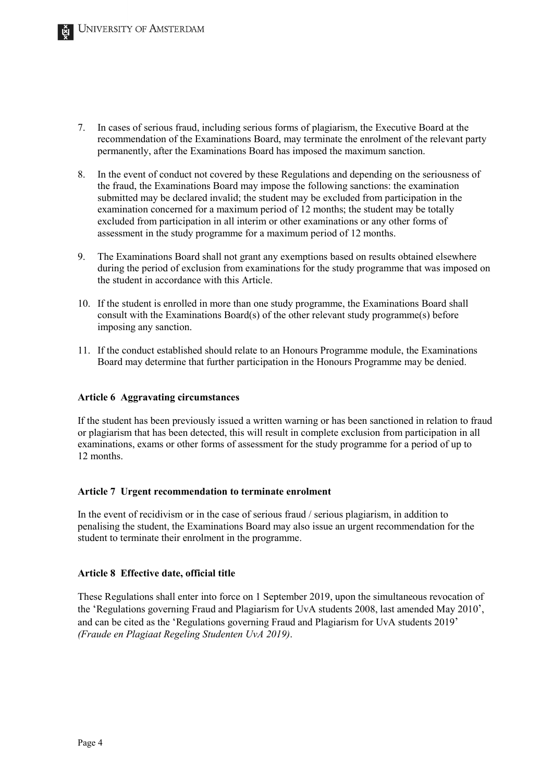- 7. In cases of serious fraud, including serious forms of plagiarism, the Executive Board at the recommendation of the Examinations Board, may terminate the enrolment of the relevant party permanently, after the Examinations Board has imposed the maximum sanction.
- 8. In the event of conduct not covered by these Regulations and depending on the seriousness of the fraud, the Examinations Board may impose the following sanctions: the examination submitted may be declared invalid; the student may be excluded from participation in the examination concerned for a maximum period of 12 months; the student may be totally excluded from participation in all interim or other examinations or any other forms of assessment in the study programme for a maximum period of 12 months.
- 9. The Examinations Board shall not grant any exemptions based on results obtained elsewhere during the period of exclusion from examinations for the study programme that was imposed on the student in accordance with this Article.
- 10. If the student is enrolled in more than one study programme, the Examinations Board shall consult with the Examinations Board(s) of the other relevant study programme(s) before imposing any sanction.
- 11. If the conduct established should relate to an Honours Programme module, the Examinations Board may determine that further participation in the Honours Programme may be denied.

#### **Article 6 Aggravating circumstances**

If the student has been previously issued a written warning or has been sanctioned in relation to fraud or plagiarism that has been detected, this will result in complete exclusion from participation in all examinations, exams or other forms of assessment for the study programme for a period of up to 12 months.

#### **Article 7 Urgent recommendation to terminate enrolment**

In the event of recidivism or in the case of serious fraud / serious plagiarism, in addition to penalising the student, the Examinations Board may also issue an urgent recommendation for the student to terminate their enrolment in the programme.

#### **Article 8 Effective date, official title**

These Regulations shall enter into force on 1 September 2019, upon the simultaneous revocation of the 'Regulations governing Fraud and Plagiarism for UvA students 2008, last amended May 2010', and can be cited as the 'Regulations governing Fraud and Plagiarism for UvA students 2019' *(Fraude en Plagiaat Regeling Studenten UvA 2019)*.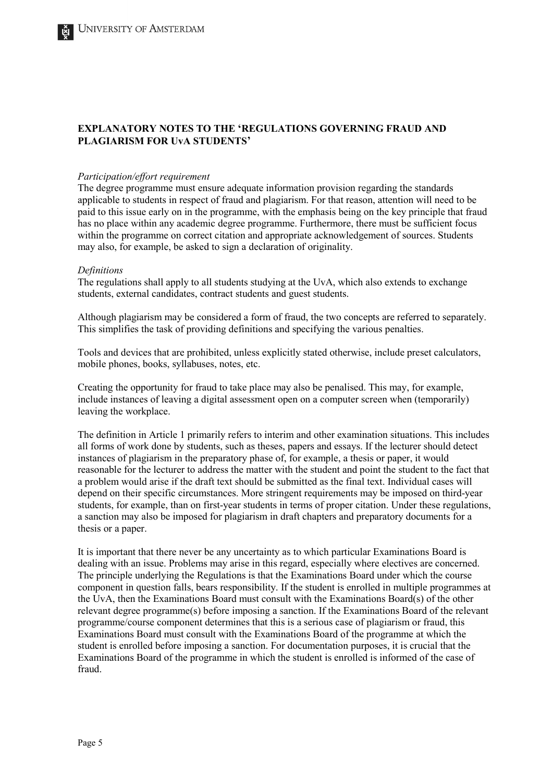#### **EXPLANATORY NOTES TO THE 'REGULATIONS GOVERNING FRAUD AND PLAGIARISM FOR UvA STUDENTS'**

#### *Participation/effort requirement*

The degree programme must ensure adequate information provision regarding the standards applicable to students in respect of fraud and plagiarism. For that reason, attention will need to be paid to this issue early on in the programme, with the emphasis being on the key principle that fraud has no place within any academic degree programme. Furthermore, there must be sufficient focus within the programme on correct citation and appropriate acknowledgement of sources. Students may also, for example, be asked to sign a declaration of originality.

#### *Definitions*

The regulations shall apply to all students studying at the UvA, which also extends to exchange students, external candidates, contract students and guest students.

Although plagiarism may be considered a form of fraud, the two concepts are referred to separately. This simplifies the task of providing definitions and specifying the various penalties.

Tools and devices that are prohibited, unless explicitly stated otherwise, include preset calculators, mobile phones, books, syllabuses, notes, etc.

Creating the opportunity for fraud to take place may also be penalised. This may, for example, include instances of leaving a digital assessment open on a computer screen when (temporarily) leaving the workplace.

The definition in Article 1 primarily refers to interim and other examination situations. This includes all forms of work done by students, such as theses, papers and essays. If the lecturer should detect instances of plagiarism in the preparatory phase of, for example, a thesis or paper, it would reasonable for the lecturer to address the matter with the student and point the student to the fact that a problem would arise if the draft text should be submitted as the final text. Individual cases will depend on their specific circumstances. More stringent requirements may be imposed on third-year students, for example, than on first-year students in terms of proper citation. Under these regulations, a sanction may also be imposed for plagiarism in draft chapters and preparatory documents for a thesis or a paper.

It is important that there never be any uncertainty as to which particular Examinations Board is dealing with an issue. Problems may arise in this regard, especially where electives are concerned. The principle underlying the Regulations is that the Examinations Board under which the course component in question falls, bears responsibility. If the student is enrolled in multiple programmes at the UvA, then the Examinations Board must consult with the Examinations Board(s) of the other relevant degree programme(s) before imposing a sanction. If the Examinations Board of the relevant programme/course component determines that this is a serious case of plagiarism or fraud, this Examinations Board must consult with the Examinations Board of the programme at which the student is enrolled before imposing a sanction. For documentation purposes, it is crucial that the Examinations Board of the programme in which the student is enrolled is informed of the case of fraud.